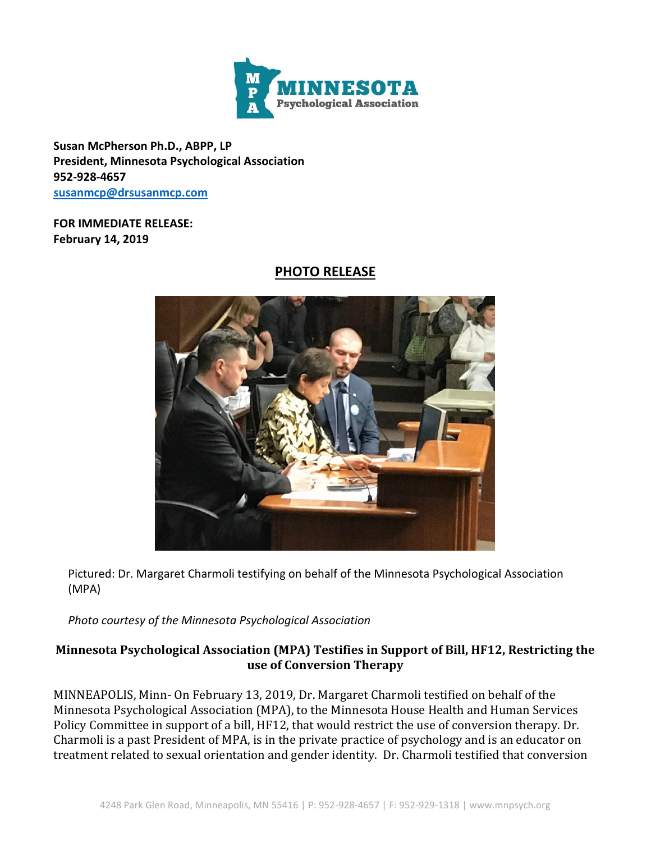

**Susan McPherson Ph.D., ABPP, LP President, Minnesota Psychological Association 952-928-4657 [susanmcp@drsusanmcp.com](mailto:susanmcp@drsusanmcp.com)**

## **FOR IMMEDIATE RELEASE: February 14, 2019**

## **PHOTO RELEASE**



Pictured: Dr. Margaret Charmoli testifying on behalf of the Minnesota Psychological Association (MPA)

*Photo courtesy of the Minnesota Psychological Association*

## **Minnesota Psychological Association (MPA) Testifies in Support of Bill, HF12, Restricting the use of Conversion Therapy**

MINNEAPOLIS, Minn- On February 13, 2019, Dr. Margaret Charmoli testified on behalf of the Minnesota Psychological Association (MPA), to the Minnesota House Health and Human Services Policy Committee in support of a bill, HF12, that would restrict the use of conversion therapy. Dr. Charmoli is a past President of MPA, is in the private practice of psychology and is an educator on treatment related to sexual orientation and gender identity. Dr. Charmoli testified that conversion